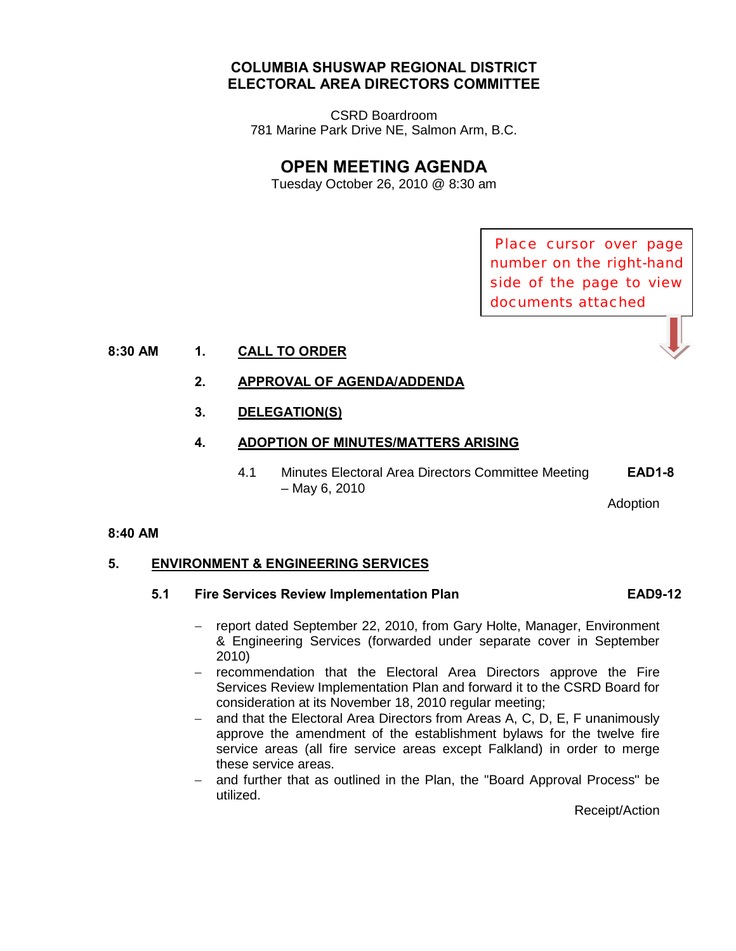## **COLUMBIA SHUSWAP REGIONAL DISTRICT ELECTORAL AREA DIRECTORS COMMITTEE**

CSRD Boardroom 781 Marine Park Drive NE, Salmon Arm, B.C.

# **OPEN MEETING AGENDA**

Tuesday October 26, 2010 @ 8:30 am

Place cursor over page number on the right-hand side of the page to view documents attached

#### **8:30 AM 1. CALL TO ORDER**

#### **2. APPROVAL OF AGENDA/ADDENDA**

 **3. DELEGATION(S)** 

#### **4. ADOPTION OF MINUTES/MATTERS ARISING**

4.1 Minutes Electoral Area Directors Committee Meeting **[EAD1-8](http://csrd.civicweb.net/Documents/DocumentDisplay.aspx?ID=4297)**  – May 6, 2010

Adoption

#### **8:40 AM**

#### **5. ENVIRONMENT & ENGINEERING SERVICES**

#### **5.1 Fire Services Review Implementation Plan [EAD9-12](http://csrd.civicweb.net/Documents/DocumentDisplay.aspx?ID=4298)**

- − report dated September 22, 2010, from Gary Holte, Manager, Environment & Engineering Services (forwarded under separate cover in September 2010)
- − recommendation that the Electoral Area Directors approve the Fire Services Review Implementation Plan and forward it to the CSRD Board for consideration at its November 18, 2010 regular meeting;
- − and that the Electoral Area Directors from Areas A, C, D, E, F unanimously approve the amendment of the establishment bylaws for the twelve fire service areas (all fire service areas except Falkland) in order to merge these service areas.
- − and further that as outlined in the Plan, the "Board Approval Process" be utilized.

Receipt/Action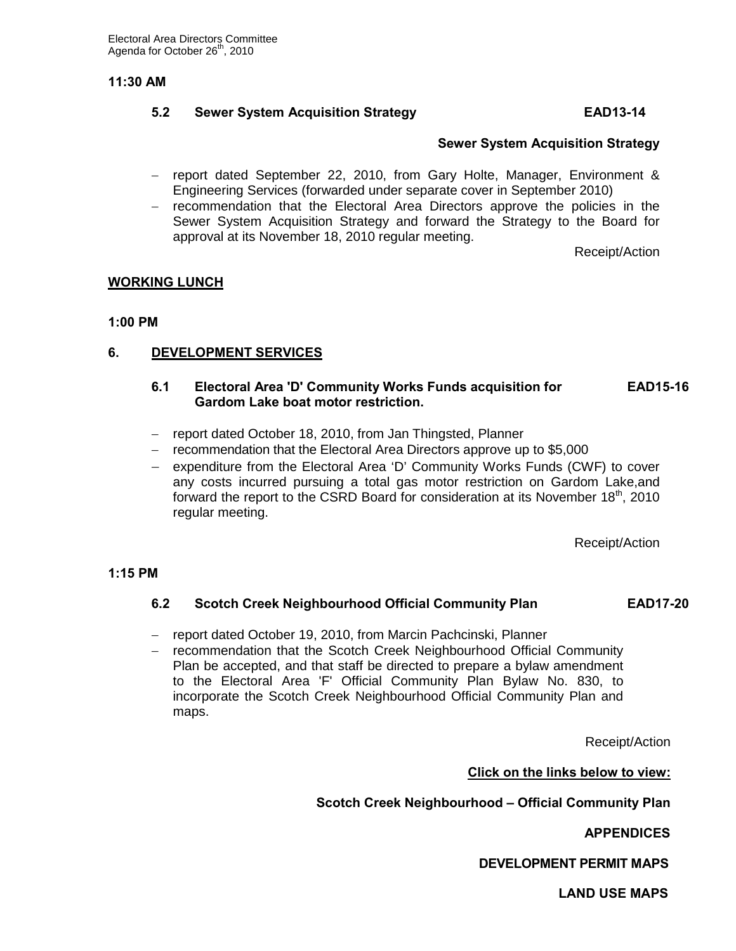#### **11:30 AM**

## **5.2 Sewer System Acquisition Strategy [EAD13-14](http://csrd.civicweb.net/Documents/DocumentDisplay.aspx?ID=4299)**

#### **[Sewer System Acquisition Strategy](http://csrd.civicweb.net/Documents/DocumentDisplay.aspx?ID=4308)**

- − report dated September 22, 2010, from Gary Holte, Manager, Environment & Engineering Services (forwarded under separate cover in September 2010)
- − recommendation that the Electoral Area Directors approve the policies in the Sewer System Acquisition Strategy and forward the Strategy to the Board for approval at its November 18, 2010 regular meeting.

Receipt/Action

#### **WORKING LUNCH**

#### **1:00 PM**

#### **6. DEVELOPMENT SERVICES**

#### **6.1 Electoral Area 'D' Community Works Funds acquisition for [EAD15-16](http://csrd.civicweb.net/Documents/DocumentDisplay.aspx?ID=4300) Gardom Lake boat motor restriction.**

- − report dated October 18, 2010, from Jan Thingsted, Planner
- − recommendation that the Electoral Area Directors approve up to \$5,000
- − expenditure from the Electoral Area 'D' Community Works Funds (CWF) to cover any costs incurred pursuing a total gas motor restriction on Gardom Lake,and forward the report to the CSRD Board for consideration at its November  $18<sup>th</sup>$ , 2010 regular meeting.

Receipt/Action

#### **1:15 PM**

#### **6.2 Scotch Creek Neighbourhood Official Community Plan [EAD17-20](http://csrd.civicweb.net/Documents/DocumentDisplay.aspx?ID=4301)**

- − report dated October 19, 2010, from Marcin Pachcinski, Planner
- − recommendation that the Scotch Creek Neighbourhood Official Community Plan be accepted, and that staff be directed to prepare a bylaw amendment to the Electoral Area 'F' Official Community Plan Bylaw No. 830, to incorporate the Scotch Creek Neighbourhood Official Community Plan and maps.

Receipt/Action

**Click on the links below to view:**

**[Scotch Creek Neighbourhood – Official Commun](http://csrd.civicweb.net/Documents/DocumentDisplay.aspx?ID=4307)ity Plan** 

**[APPENDICES](http://csrd.civicweb.net/Documents/DocumentDisplay.aspx?ID=4304)**

 **[DEVELOPMENT PERMIT MAPS](http://csrd.civicweb.net/Documents/DocumentDisplay.aspx?ID=4305)**

 **[LAND USE MAPS](http://csrd.civicweb.net/Documents/DocumentDisplay.aspx?ID=4306)**